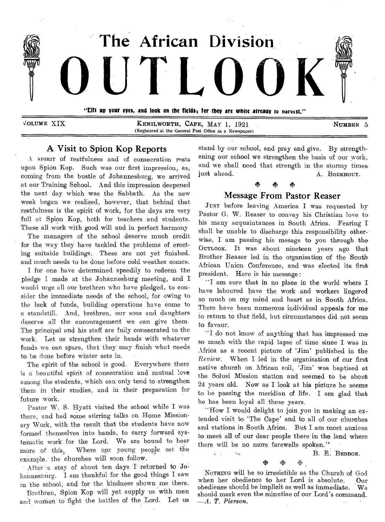

xioLumE XIX **KENILWORTH, CAPE,** MAY 1, 1921 **NUMBER** 5 (Registered at the General Post Office as a Newspaper)

## A Visit to Spion Kop Reports

A SPIRIT of restfulness and of consecration rests upon Spion Kop. Such was our first impression, as, coming from the bustle of Johannesburg, we arrived at our Training School. And this impression deepened the next day which was the Sabbath. As the new week began we realised, however, that behind that restfulness is the spirit of work, for the days are very full at Spion Kop, both for teachers and students. These all work with good will and in perfect harmony

The managers of the school deserve much credit for the way they have tackled the problems of erecting suitable buildings. These are not yet finished. and much needs to be done before cold weather comes.

I for one have determined speedily to redeem the pledge I made at the Johannesburg meeting, and I would urge all our brethren who have pledged, to consider the immediate needs of the school, for owing to the lack of funds, building operations have come to a standstill. And, brethren, our sons and daughters deserve all the encouragement we can give them. The principal and his staff are fully consecrated to the work. Let us strengthen their hands with whatever funds we can spare, that they may finish what needs to be done before winter sets in.

The spirit of the school is good. Everywhere there is a beautiful spirit of consecration and mutual love among the students, which can only tend to strengthen them in their studies, and in their preparation for future work.

Pastor W. S. Hyatt visited the school while I was there, and had some stirring talks on Home Missionary Work, with the result that the students have now formed themselves into bands, to carry forward systematic work for the Lord. We are bound to hear more of this.. Where our young people set the example, the churches will soon follow.

After a stay of about ten days I returned to Johannesburg. I am thankful for the good things I saw in the school, arid for the kindness shown me there.

Brethren, Spion Kop will yet supply us with men and women to fight the battles of the Lord. Let us stand by our school, and pray and give. By strengthening our school we strengthen the basis of our work, and we shall need that strength in the stormy times just ahead. A. BOEKHOUT.

# Message From Pastor Reaser

JUST before leaving America I was requested by Pastor G. W. Reaser to convey his Christian love to his many acquaintances in South Africa. Fearing I shall be unable to discharge this responsibility otherwise, I am passing his mesage to you through the OUTLOOK. It was about nineteen years ago that Brother Reaser led in the organisation of the South African Union Conference, and was elected its first president. Here is his message :

"I am sure that in no place in the world where I have laboured have the work and workers lingered so much on my mind and heart as in South Africa. There have been numerous individual appeals for me to return to that field, but circumstances did not seem to favour.

"I do not know of anything that has impressed me so much with the rapid lapse of time since I was in Africa as a recent picture of 'Jim' published in the *Review.* When I led in the organisation of our first native church on African soil, 'Jim' was baptised at the Solusi Mission station and seemed to be about 24 years old. Now as I look at his picture he seems to be passing the meridian of life. I am glad that he has been loyal all these years.

"How I would delight to join you in making an extended visit to 'The Cape' and to all of our churches and stations in South Africa. But I am most anxious to meet all of our dear people there in the land where there will be no more farewells spoken."

B. E. BEDDOE.

• ≫

 $\omega$  .

NOTHING will be so irresistible as the Church of God when her obedience to her Lord is absolute. Our obedience should be implicit as well as immediate. We should mark even the minutiae of our Lord's command. *—A. T. Pierson.*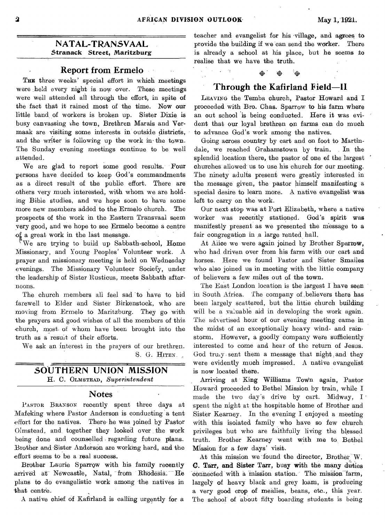## **Report from Ermelo**

THE three weeks' special effort in which meetings were held every night is now over. These meetings were well attended all through the effort, in spite of the fact that it rained most of the time. Now our little band of workers is broken up. Sister Dixie is busy canvassing the town, Brethren Marais and Vermaak are visiting some interests in outside districts, and the writer is following up the work in- the town. The Sunday evening meetings continue to be well attended.

We are glad to report some good results. Four persons have decided to keep God's commandments as a direct result of the public effort. There are others very much interested, with whom we are holding Bible studies, and we hope soon to have some more new members added to the Ermelo church. The prospects of the work in the Eastern Transvaal seem very good, and we hope to see Ermelo become a centre oi a great work in the last message.

 $^{\ast}$ We are trying to build up Sabbath-school, Home Missionary, and Young Peoples' Volunteer work. A prayer and missionary meeting is held on Wednesday evenings. The Missionary Volunteer Society, under the leadership of Sister Rusticus, meets Sabbath afternoons.

The church members all feel sad 'to have to bid farewell to Elder and Sister Birkenstock, who are moving from Ermelo to Maritzburg. They go with the prayers and good wishes of all the members of this church, most of whom have been brought into the truth as a result of their efforts.

We ask an interest in the prayers of our brethren. S. G. HITEN.

## **SOUTHERN UNION MISSION H. C.** OLMSTEAD, *Superintendent*

## **Notes**

PASTOR BRANSON recently spent three days at iMafeking where Pastor Anderson is conducting a tent effort for the natives. There he was joined by Pastor Olmstead, and, together they looked over the work being done and counselled regarding future plans. Brother and 'Sister Anderson are working hard, and the effort' seems to be a real success.

Brother Laurie Sparrow with his family recently arrived at Newcastle, Natal, from Rhodesia. He plans to do evangelistic work among the natives in that centre.

A native chief of Kafirland is calling urgently for a

teacher and evangelist for his 'village, and agrees to **NATAL-TRANSVAAL** provide the building if we can send the worker. There **Stranack** Street, Maritzburg is already a school at his place, but he seems to is already a school at his place, but he seems to realise that we have the truth. **• •** 

## **Through the Kafirland Field-11**

LEAVING the Temba church, Pastor Howard and I proceeded with Bro. Chas. Sparrow to his farm where an out school is being conducted. Here it was evident that our loyal brethren on farms can do much to advance God's work among the natives.

Going across country by cart and on foot to Martindale, we reached Grahamstown by train. In the splendid location there, the pastor of one of the largest churches allowed us to use his church for our meeting, The ninety adults present were greatly interested in the message given, the pastor himself manifesting a special desire to learn more. A native evangelist was left to carry on the work.

Our next stop was at Port Elizabeth, where a native worker was recently stationed. God's spirit **was**  manifestly present as we presented the message to a fair congregation in a large rented hall.

At Alice we were again joined by Brother Sparrow, who had driven over from his farm with our cart and horses. Here we found Pastor and Sister Smailes who also joined us in meeting with the little company of believers a few miles out of the town.

The East London location is the largest I have seen in South Africa. The company of ,believers there has been largely scattered, but the little church building will be a valuable aid in developing the work again. The advertised hour of our evening meeting came in the midst of an exceptionally heavy wind- and rainstorm. However, a goodly company were sufficiently interested to come and hear of the return of Jesus. God truly sent them a message that  $night$  and they were evidently much impressed. A native evangelist is now located **there.** 

**Arriving at King Williams Town** again, Pastor Howard proceeded to Bethel Mission by train, while I made the two day's drive by cart. Midway, I spent the night at the hospitable home of Brother and Sister Kearney. In the evening I enjoyed a meeting with this isolated family who have so few church privileges but who are faithfully living the blessed truth. Brother Kearney went with me to. Bethel Mission for a few days' visit.

At this mission we found the director, Brother W. **C. Tarr, and Sister Tarr, busy with the many** duties connected with a mission station. The mission farm, largely of heavy black and grey loam, is producing a very good crop of mealies, beans, etc., this year. The school of about fifty boarding students is being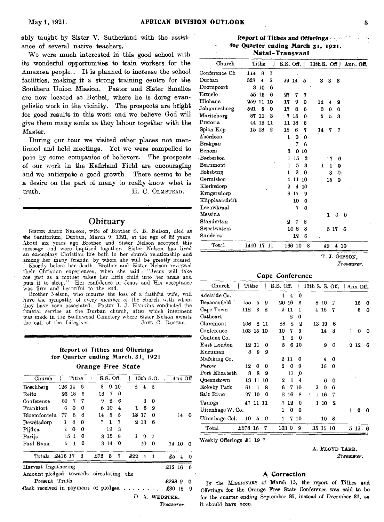ably taught by Sister V. Sutherland with the assistance of several native teachers.

We were much interested in this good school with its wonderful opportunities to train workers for the Amaxosa people.. It is planned to increase the school facilities, making it a strong training centre for the Southern Union Mission. Pastor and Sister Smailes are now located at Bethel, where he is doing evangelistic work in the vicinity. The prospects are bright for good results in this work and we believe God will give them many souls as they labour together with the Master.

During our tour we visited other places not mentioned and held meetings. Yet we were compelled to pass by some companies of believers. The prospects of our work in the Kafirland Field are encouraging and we anticipate a good growth. There seems to be a desire on the part of many to really know what is truth. H. C. OLMSTEAD.

## **Obituary**

SISTER ALICE NELSON, wife of Brother S. B. Nelson, died at the Sanitorium, Durban, March 9, 1921, at the age of 52 years. About six years ago Brother and Sister Nelson accepted this message and were baptised together. Sister Nelson has lived an exemplary Christian life both in her church relationship and

among her many friends, by whom she will be greatly missed. Shortly before her death, Brother and Sister Nelson reviewed their Christian experiences, when she said : "Jesus will take me just as a mother takes her little child into her arms and puts it to sleep." Her confidence in Jesus and His acceptance was firm and beautiful to the end.

Brother Nelson, who mourns the loss of a faithful wife, will have the sympathy of every member of the church with whom they have been associated. Pastor I. J. Hankins conducted the funeral service at the Durban church, after which interment was made in the Stellawood Cemetery where Sister Nelson awaits<br>the call of the Lifegiver. JOBL C. ROGERS. the call of the Lifegiver.

## Report of Tithes and Offerings for Quarter ending March. 31, 1921 **Orange Free State**

| Church                             |         | Tithe           |     |     |    |                  | $S.S.$ Off. |     |         | 13th S.O. |    | $Ann$ Off |          |
|------------------------------------|---------|-----------------|-----|-----|----|------------------|-------------|-----|---------|-----------|----|-----------|----------|
| Boschberg                          | 126 14  |                 | - 6 |     | 8  |                  | 9 10        | 2   | 4       | 3         |    |           |          |
| Reitz                              | 93      | -18             | 6   |     | 18 | 7                | -0          |     |         |           |    |           |          |
| Conference                         | 89      | 7               | 7   |     | 9  | $\boldsymbol{2}$ | 6           |     | 3       | 0         |    |           |          |
| Frankfort                          | 6       | 0               | 0   |     | ĥ  | 10               | 4           | 1.  | 6       | 9         |    |           |          |
| <b>Bloemfontein</b>                | 77      | 6               | 8   |     | 14 | 5                | 5           |     | 13 17   | 0         |    | 14        | 0        |
| Dewetsdorp                         | 1       | 8               | 0   |     | 7  | -1               | 7           |     | $2\;13$ | 6         |    |           |          |
| Pijdna                             | Ą,      | 0               | 0   |     |    | 19               | 3           |     |         |           |    |           |          |
| Parijs                             |         | 15 <sub>1</sub> | 0   |     |    | 315              | 8           | 1   | 9       | 7         |    |           |          |
| Paul Roux                          | 5       | 1               | 0   |     |    |                  | 3140        |     | 10      | 0         |    | 14 10     | $\Omega$ |
| Totals                             | £416 J7 |                 | 3   | £72 |    | 5                | 7           | £22 | 4       | 1         | £5 | 4         | $\Omega$ |
| Harvest Ingathering                |         |                 |     |     |    |                  |             |     |         |           |    | £12 16    | 6        |
| Amount pledged towards circulating |         |                 |     |     |    |                  |             | the |         |           |    |           |          |

Present Truth  $\qquad \qquad$  £298 9 0 Cash received in payment of pledges.  $\ldots \ldots$ .  $\ldots$  £30 18 9

D. A. WEBSTER.

*Treasurer,* 

**Report of Tithes and Offerings for Quarter ending March 35, 1921, Natal-Transvaal** 

| Church                         | Tithe                        | ļ                        | S.S. Off.   13th S. Off   Ann. Off. |
|--------------------------------|------------------------------|--------------------------|-------------------------------------|
| Conference Ch                  | 8<br>114<br>7                |                          |                                     |
| Durban                         | 338<br>$\boldsymbol{2}$<br>4 | 29 14<br>5               | 3<br>3<br>3                         |
| $Doorn$ poort                  | 3<br>6<br>10                 |                          |                                     |
| $\mathop{\rm Ermelo}\nolimits$ | 55<br>-15<br>6               | 27<br>7<br>7             |                                     |
| Hlobane                        | 259 11<br>10                 | 17<br>9<br>0             | 14<br>$\ddot{\phantom{0}}$<br>9     |
| Johannesburg                   | 521<br>5<br>0                | 17<br>6<br>8             | 3<br>0<br>0                         |
| Maritzburg                     | 11<br>87<br>3                | 7<br>15<br>$\Omega$      | 5<br>5<br>3                         |
| Pretoria                       | 44 12<br>11                  | 18<br>6<br>11            |                                     |
| Spion Kop                      | 15 18<br>$\boldsymbol{2}$    | 18<br>6<br>7             | 14<br>7<br>7                        |
| Aberdeen                       |                              | ı<br>0<br>0              |                                     |
| Brakpan                        |                              | 7<br>6                   |                                     |
| Benoni                         |                              | 3<br>0<br>10             |                                     |
| Barberton                      |                              | 15<br>1<br>3             | 7<br>6                              |
| Beaumont                       |                              | 5<br>3<br>1              | 1<br>$\mathbf{1}$<br>$\mathbf o$    |
| Boksburg                       |                              | $\overline{2}$<br>1<br>0 | 3<br>0 <sub>1</sub>                 |
| Germiston                      |                              | 11<br>4<br>10            | 15<br>0                             |
| Klerksdorp                     |                              | 4<br>2<br>10             |                                     |
| Krugersdorp                    |                              | 6<br>17<br>9             |                                     |
| Klipplaatsdrift                |                              | 10<br>0                  |                                     |
| Leeuwkraal                     |                              | 7<br>0                   |                                     |
| Messina                        |                              |                          | $\bf{0}$<br>$\mathbf{1}$<br>0       |
| Standerton                     |                              | $\mathbf{a}$<br>7<br>8   |                                     |
| Sweetwaters                    |                              | 10 <sub>8</sub><br>8     | 5 17<br>6                           |
| Sundries                       |                              | 6 <sup>°</sup><br>12     |                                     |
| $\operatorname{Tota}1$         | 1440 17 11                   | 166 10                   | 8<br>49<br>4 10                     |

T. J. GIBSON,

*Treasurer.* 

#### **Cape Conference**

| Church           | Tithe     |          |     | S.S. Off. |                |          | 13th S. S. Off. $ $ Ann Off. |          |   |   |         |   |
|------------------|-----------|----------|-----|-----------|----------------|----------|------------------------------|----------|---|---|---------|---|
| Adelaide Co.     |           |          |     | 1         | $\overline{4}$ | 0        |                              |          |   |   |         |   |
| Beaconsfield     | 155       | 5        | 9   |           | 20 16          | б        | 8                            | 10       | 7 |   | 15      | 0 |
| Cape Town        | 112       | 3        | 2   | 9         | 11             | 1        | 4 18                         |          | 7 |   | 5       | 0 |
| Cathcart         |           |          |     |           | 2              | 0        |                              |          |   |   |         |   |
| $Claremont$      | 106       | 2        | -11 | 28        | 2              | 2        | 13 19                        |          | 6 |   |         |   |
| Conference       | 103 15 10 |          |     | 10        | 7              | 9        |                              | 14       | 3 | 1 | 0       | 0 |
| Content Co.      |           |          |     | 1         | 2              | 0        |                              |          |   |   |         |   |
| East London      |           | 12 11    | 0   | 5         | 6              | 10       |                              | 9        | 0 |   | $2\,12$ | 6 |
| Kuruman          | 8         | 8        | 9   |           |                |          |                              |          |   |   |         |   |
| Mafeking Co.     |           |          |     | 2         | 11             | 0        |                              | 4        | 0 |   |         |   |
| Parow            | 12        | 0        | 0   | 2         | 0              | 9        |                              | 16       | o |   |         |   |
| Port Elizabeth   | 8         | 8        | 9   |           | 11             | $\bf{0}$ |                              |          |   |   |         |   |
| Queenstown       | 13        | 11       | 10  | 2         | 1              | 4        |                              | 6        | Ω |   |         |   |
| Rokeby Park      | 61        | 1        | 8   | 6         | 7              | 10       | 2                            | $\bf{0}$ | 6 |   |         |   |
| Salt River       | 27        | 10       | 0   | 2         | 16             | 8        | f.<br>L                      | 16       | 7 |   |         |   |
| Taungs           |           | 47 11 11 |     | 7         | 12             | 0        | 1                            | 10       | 2 |   |         |   |
| Uitenhage W. Co. |           |          |     | 1         | Ö              | 0        |                              |          |   | 1 | Ω       | o |
| Uitenhage Col.   | 10        | 5        | o   | 1         | 7              | 10       |                              | 10       | 8 |   |         |   |
| Total            | £678 16   |          | 7   |           | 103 0          | 9        | 35 15 10                     |          |   |   | $5\,12$ | 6 |
|                  |           |          |     |           |                |          |                              |          |   |   |         |   |

Weekly Offerings £1 19 7

*Treasurer.* 

#### **A Correction**

IN the MISSIONARY of March 15, the report of Tithes *and*  Offerings for the Orange Free State Conference was said to be for the quarter ending September 30, instead of December 31, as it should have been.

A. FLOYD TARR,